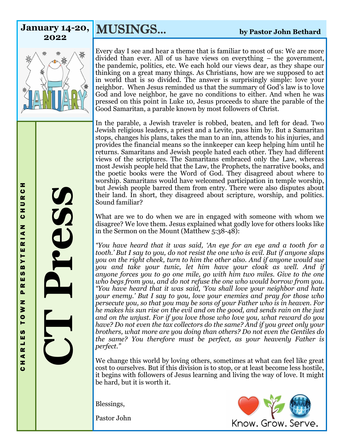MUSINGS... **by Pastor John Bethard January 14-20, 2022**



Every day I see and hear a theme that is familiar to most of us: We are more divided than ever. All of us have views on everything – the government, the pandemic, politics, etc. We each hold our views dear, as they shape our thinking on a great many things. As Christians, how are we supposed to act in world that is so divided. The answer is surprisingly simple: love your neighbor. When Jesus reminded us that the summary of God's law is to love God and love neighbor, he gave no conditions to either. And when he was pressed on this point in Luke 10, Jesus proceeds to share the parable of the Good Samaritan, a parable known by most followers of Christ.

In the parable, a Jewish traveler is robbed, beaten, and left for dead. Two Jewish religious leaders, a priest and a Levite, pass him by. But a Samaritan stops, changes his plans, takes the man to an inn, attends to his injuries, and provides the financial means so the innkeeper can keep helping him until he returns. Samaritans and Jewish people hated each other. They had different views of the scriptures. The Samaritans embraced only the Law, whereas most Jewish people held that the Law, the Prophets, the narrative books, and the poetic books were the Word of God. They disagreed about where to worship. Samaritans would have welcomed participation in temple worship, but Jewish people barred them from entry. There were also disputes about their land. In short, they disagreed about scripture, worship, and politics. Sound familiar?

What are we to do when we are in engaged with someone with whom we disagree? We love them. Jesus explained what godly love for others looks like in the Sermon on the Mount (Matthew 5:38-48):

*"You have heard that it was said, 'An eye for an eye and a tooth for a tooth.' But I say to you, do not resist the one who is evil. But if anyone slaps you on the right cheek, turn to him the other also. And if anyone would sue you and take your tunic, let him have your cloak as well. And if anyone forces you to go one mile, go with him two miles. Give to the one who begs from you, and do not refuse the one who would borrow from you. "You have heard that it was said, 'You shall love your neighbor and hate your enemy.' But I say to you, love your enemies and pray for those who persecute you, so that you may be sons of your Father who is in heaven. For he makes his sun rise on the evil and on the good, and sends rain on the just and on the unjust. For if you love those who love you, what reward do you have? Do not even the tax collectors do the same? And if you greet only your brothers, what more are you doing than others? Do not even the Gentiles do the same? You therefore must be perfect, as your heavenly Father is perfect."*

We change this world by loving others, sometimes at what can feel like great cost to ourselves. But if this division is to stop, or at least become less hostile, it begins with followers of Jesus learning and living the way of love. It might be hard, but it is worth it.

Blessings,

Pastor John



**CT Press**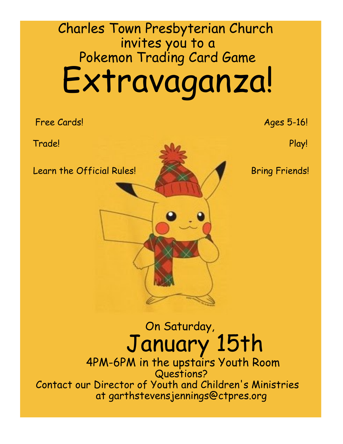# Charles Town Presbyterian Church invites you to a Pokemon Trading Card Game Extravaganza!

Free Cards! Ages 5-16!

Trade! Play!

Learn the Official Rules! Bring Friends!

On Saturday, January 15th

4PM-6PM in the upstairs Youth Room Questions? Contact our Director of Youth and Children's Ministries at garthstevensjennings@ctpres.org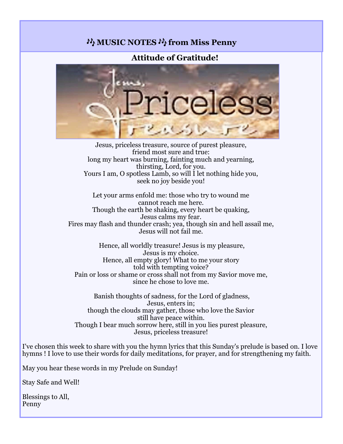### **MUSIC NOTES M from Miss Penny**

#### **Attitude of Gratitude!**



Jesus, priceless treasure, source of purest pleasure, friend most sure and true: long my heart was burning, fainting much and yearning, thirsting, Lord, for you. Yours I am, O spotless Lamb, so will I let nothing hide you, seek no joy beside you!

Let your arms enfold me: those who try to wound me cannot reach me here. Though the earth be shaking, every heart be quaking, Jesus calms my fear. Fires may flash and thunder crash; yea, though sin and hell assail me, Jesus will not fail me.

Hence, all worldly treasure! Jesus is my pleasure, Jesus is my choice. Hence, all empty glory! What to me your story told with tempting voice? Pain or loss or shame or cross shall not from my Savior move me, since he chose to love me.

Banish thoughts of sadness, for the Lord of gladness, Jesus, enters in; though the clouds may gather, those who love the Savior still have peace within. Though I bear much sorrow here, still in you lies purest pleasure, Jesus, priceless treasure!

I've chosen this week to share with you the hymn lyrics that this Sunday's prelude is based on. I love hymns ! I love to use their words for daily meditations, for prayer, and for strengthening my faith.

May you hear these words in my Prelude on Sunday!

Stay Safe and Well!

Blessings to All, Penny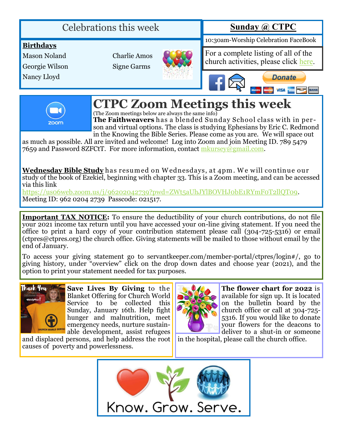## Celebrations this week

## **Sunday @ CTPC**

10:30am-Worship Celebration FaceBook

#### **Birthdays**

Mason Noland

Georgie Wilson

Nancy Lloyd

Charlie Amos Signe Garms



For a complete listing of all of the church activities, please click [here.](http://www.ctpres.org/events-calendar)





## **CTPC Zoom Meetings this week**

(The Zoom meetings below are always the same info)

**The Faithweavers** has a blended Sunday School class w ith in person and virtual options. The class is studying Ephesians by Eric C. Redmond in the Knowing the Bible Series. Please come as you are. We will space out

as much as possible. All are invited and welcome! Log into Zoom and join Meeting ID. 789 5479 7659 and Password 8ZFCtT. For more information, contact [mkursey@gmail.com.](mailto:mkursey@gmail.com)

**Wednesday Bible Study** has resum ed on W ednesdays, at 4pm . W e w ill continue our study of the book of Ezekiel, beginning with chapter 33. This is a Zoom meeting, and can be accessed via this link

[https://us06web.zoom.us/j/96202042739?pwd=ZWt5aUhJYlBOVHJ0bE1RYmF0T2llQT09.](https://us06web.zoom.us/j/96202042739?pwd=ZWt5aUhJYlBOVHJ0bE1RYmF0T2llQT09)  Meeting ID: 962 0204 2739 Passcode: 021517.

**Important TAX NOTICE:** To ensure the deductibility of your church contributions, do not file your 2021 income tax return until you have accessed your on-line giving statement. If you need the office to print a hard copy of your contribution statement please call (304-725-5316) or email (ctpres@ctpres.org) the church office. Giving statements will be mailed to those without email by the end of January.

To access your giving statement go to servantkeeper.com/member-portal/ctpres/login#/, go to giving history, under "overview" click on the drop down dates and choose year (2021), and the option to print your statement needed for tax purposes.



**Save Lives By Giving** to the Blanket Offering for Church World Service to be collected this Sunday, January 16th. Help fight hunger and malnutrition, meet emergency needs, nurture sustainable development, assist refugees

and displaced persons, and help address the root causes of poverty and powerlessness.



**The flower chart for 2022** is available for sign up. It is located on the bulletin board by the church office or call at 304-725- 5316. If you would like to donate your flowers for the deacons to deliver to a shut-in or someone

in the hospital, please call the church office.

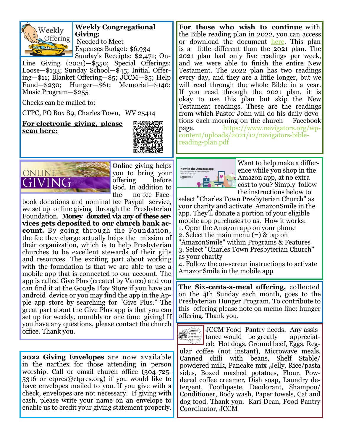

**Weekly Congregational Giving:**  Needed to Meet Expenses Budget: \$6,934 Sunday's Receipts: \$2,471; On-

Line Giving (2021)—\$550; Special Offerings: Loose—\$133; Sunday School—\$45; Initial Offering—\$11; Blanket Offering—\$5; JCCM—\$5; Help Fund—\$230; Hunger—\$61; Memorial—\$140; Music Program—\$255

Checks can be mailed to:

CTPC, PO Box 89, Charles Town, WV 25414

**For electronic giving, please scan here:** 





Online giving helps you to bring your offering before God. In addition to the no-fee Face-

book donations and nominal fee Paypal service, we set up online giving through the Presbyterian Foundation. **Money donated via any of these services gets deposited to our church bank account.** By going through the Foundation, the fee they charge actually helps the mission of their organization, which is to help Presbyterian churches to be excellent stewards of their gifts and resources. The exciting part about working with the foundation is that we are able to use a mobile app that is connected to our account. The app is called Give Plus (created by Vanco) and you can find it at the Google Play Store if you have an android device or you may find the app in the Apple app store by searching for "Give Plus." The great part about the Give Plus app is that you can set up for weekly, monthly or one time giving! If you have any questions, please contact the church office. Thank you.

**2022 Giving Envelopes** are now available in the narthex for those attending in person worship. Call or email church office (304-725- 5316 or ctpres@ctpres.org) if you would like to have envelopes mailed to you. If you give with a check, envelopes are not necessary. If giving with cash, please write your name on an envelope to enable us to credit your giving statement properly.

For those who wish to continue with the Bible reading plan in 2022, you can access or download the document [here.](https://www.navigators.org/wp-content/uploads/2021/01/navigators-book-at-a-time-bible-reading-plan.pdf) This plan is a little different than the 2021 plan. The 2021 plan had only five readings per week, and we were able to finish the entire New Testament. The 2022 plan has two readings every day, and they are a little longer, but we will read through the whole Bible in a year. If you read through the 2021 plan, it is okay to use this plan but skip the New Testament readings. These are the readings from which Pastor John will do his daily devotions each morning on the church Facebook page. https://www.navigators.org/wpcontent/uploads/2021/12/navigators-biblereading-plan.pdf



Want to help make a difference while you shop in the Amazon app, at no extra cost to you? Simply follow the instructions below to

select "Charles Town Presbyterian Church" as your charity and activate AmazonSmile in the app. They'll donate a portion of your eligible mobile app purchases to us. How it works: 1. Open the Amazon app on your phone 2. Select the main menu (=) & tap on "AmazonSmile" within Programs & Features

3. Select "Charles Town Presbyterian Church" as your charity

4. Follow the on-screen instructions to activate AmazonSmile in the mobile app

**The Six-cents-a-meal offering,** collected on the 4th Sunday each month, goes to the Presbyterian Hunger Program. To contribute to this offering please note on memo line: hunger offering. Thank you.

Mefferson JCCM Food Pantry needs. Any assistance would be greatly appreciated: Hot dogs, Ground beef, Eggs, Regular coffee (not instant), Microwave meals, Canned chili with beans, Shelf Stable/ powdered milk, Pancake mix ,Jelly, Rice/pasta sides, Boxed mashed potatoes, Flour, Powdered coffee creamer, Dish soap, Laundry detergent, Toothpaste, Deodorant, Shampoo/ Conditioner, Body wash, Paper towels, Cat and dog food. Thank you, Kari Dean, Food Pantry Coordinator, JCCM